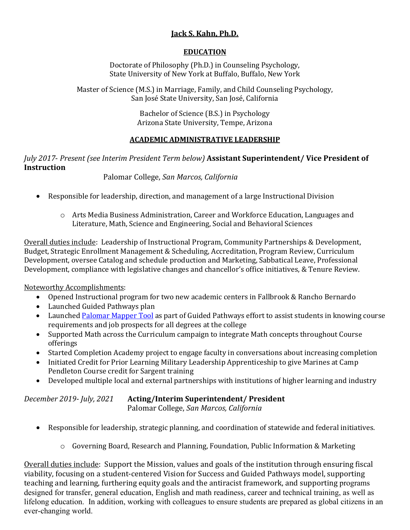## **Jack S. Kahn, Ph.D.**

## **EDUCATION**

Doctorate of Philosophy (Ph.D.) in Counseling Psychology, State University of New York at Buffalo, Buffalo, New York

Master of Science (M.S.) in Marriage, Family, and Child Counseling Psychology, San José State University, San José, California

> Bachelor of Science (B.S.) in Psychology Arizona State University, Tempe, Arizona

## **ACADEMIC ADMINISTRATIVE LEADERSHIP**

## *July 2017*- *Present (see Interim President Term below)* **Assistant Superintendent/ Vice President of Instruction**

Palomar College, *San Marcos, California*

- Responsible for leadership, direction, and management of a large Instructional Division
	- o Arts Media Business Administration, Career and Workforce Education, Languages and Literature, Math, Science and Engineering, Social and Behavioral Sciences

Overall duties include: Leadership of Instructional Program, Community Partnerships & Development, Budget, Strategic Enrollment Management & Scheduling, Accreditation, Program Review, Curriculum Development, oversee Catalog and schedule production and Marketing, Sabbatical Leave, Professional Development, compliance with legislative changes and chancellor's office initiatives, & Tenure Review.

Noteworthy Accomplishments:

- Opened Instructional program for two new academic centers in Fallbrook & Rancho Bernardo
- Launched Guided Pathways plan
- Launche[d Palomar Mapper Tool](https://www2.palomar.edu/pages/mapper/) as part of Guided Pathways effort to assist students in knowing course requirements and job prospects for all degrees at the college
- Supported Math across the Curriculum campaign to integrate Math concepts throughout Course offerings
- Started Completion Academy project to engage faculty in conversations about increasing completion
- Initiated Credit for Prior Learning Military Leadership Apprenticeship to give Marines at Camp Pendleton Course credit for Sargent training
- Developed multiple local and external partnerships with institutions of higher learning and industry

| December 2019- July, 2021 | <b>Acting/Interim Superintendent/ President</b> |
|---------------------------|-------------------------------------------------|
|                           | Palomar College, San Marcos, California         |

- Responsible for leadership, strategic planning, and coordination of statewide and federal initiatives.
	- $\circ$  Governing Board, Research and Planning, Foundation, Public Information & Marketing

Overall duties include: Support the Mission, values and goals of the institution through ensuring fiscal viability, focusing on a student-centered Vision for Success and Guided Pathways model, supporting teaching and learning, furthering equity goals and the antiracist framework, and supporting programs designed for transfer, general education, English and math readiness, career and technical training, as well as lifelong education. In addition, working with colleagues to ensure students are prepared as global citizens in an ever-changing world.